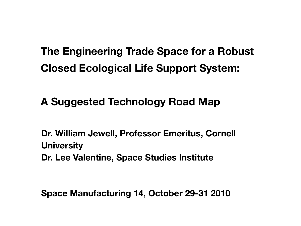#### **The Engineering Trade Space for a Robust Closed Ecological Life Support System:**

**A Suggested Technology Road Map**

**Dr. William Jewell, Professor Emeritus, Cornell University Dr. Lee Valentine, Space Studies Institute**

**Space Manufacturing 14, October 29-31 2010**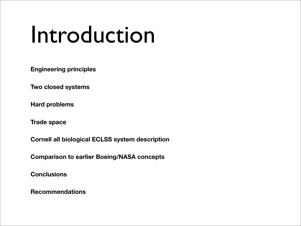## Introduction

**Engineering principles**

**Two closed systems**

**Hard problems**

**Trade space**

**Cornell all biological ECLSS system description**

**Comparison to earlier Boeing/NASA concepts**

**Conclusions**

**Recommendations**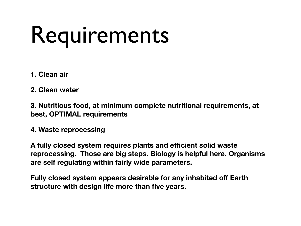# Requirements

- **1. Clean air**
- **2. Clean water**

**3. Nutritious food, at minimum complete nutritional requirements, at best, OPTIMAL requirements**

**4. Waste reprocessing**

**A fully closed system requires plants and efficient solid waste reprocessing. Those are big steps. Biology is helpful here. Organisms are self regulating within fairly wide parameters.**

**Fully closed system appears desirable for any inhabited off Earth structure with design life more than five years.**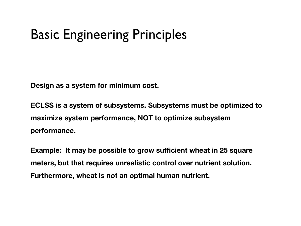### Basic Engineering Principles

**Design as a system for minimum cost.**

**ECLSS is a system of subsystems. Subsystems must be optimized to maximize system performance, NOT to optimize subsystem performance.** 

**Example: It may be possible to grow sufficient wheat in 25 square meters, but that requires unrealistic control over nutrient solution. Furthermore, wheat is not an optimal human nutrient.**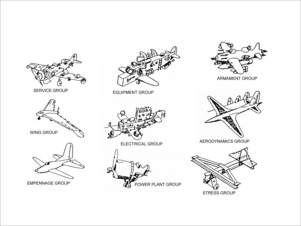

SERVICE GROUP



EMPENNAGE GROUP



**EQUIPMENT GROUP** 



ELECTRICAL GROUP





ARMAMENT GROUP



AERODYNAMICS GROUP

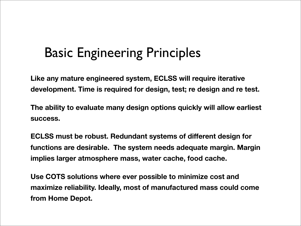### Basic Engineering Principles

**Like any mature engineered system, ECLSS will require iterative development. Time is required for design, test; re design and re test.** 

**The ability to evaluate many design options quickly will allow earliest success.**

**ECLSS must be robust. Redundant systems of different design for functions are desirable. The system needs adequate margin. Margin implies larger atmosphere mass, water cache, food cache.**

**Use COTS solutions where ever possible to minimize cost and maximize reliability. Ideally, most of manufactured mass could come from Home Depot.**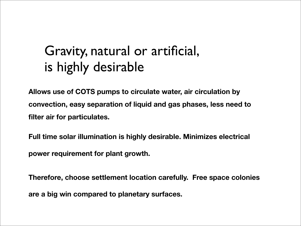### Gravity, natural or artificial, is highly desirable

**Allows use of COTS pumps to circulate water, air circulation by convection, easy separation of liquid and gas phases, less need to filter air for particulates.**

**Full time solar illumination is highly desirable. Minimizes electrical power requirement for plant growth.** 

**Therefore, choose settlement location carefully. Free space colonies are a big win compared to planetary surfaces.**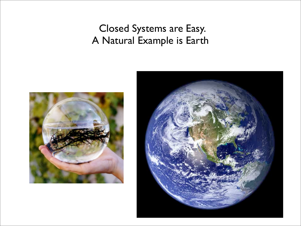#### Closed Systems are Easy. A Natural Example is Earth



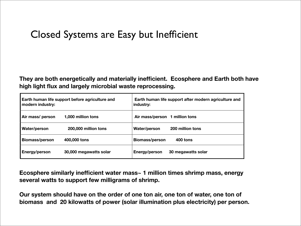#### Closed Systems are Easy but Inefficient

**They are both energetically and materially inefficient. Ecosphere and Earth both have high light flux and largely microbial waste reprocessing.** 

| Earth human life support before agriculture and<br>modern industry: |                        | Earth human life support after modern agriculture and<br>industry: |
|---------------------------------------------------------------------|------------------------|--------------------------------------------------------------------|
| Air mass/ person                                                    | 1,000 million tons     | Air mass/person 1 million tons                                     |
| Water/person                                                        | 200,000 million tons   | 200 million tons<br>Water/person                                   |
| <b>Biomass/person</b>                                               | 400,000 tons           | 400 tons<br><b>Biomass/person</b>                                  |
| Energy/person                                                       | 30,000 megawatts solar | <b>Energy/person</b><br>30 megawatts solar                         |

**Ecosphere similarly inefficient water mass~ 1 million times shrimp mass, energy several watts to support few milligrams of shrimp.**

**Our system should have on the order of one ton air, one ton of water, one ton of biomass and 20 kilowatts of power (solar illumination plus electricity) per person.**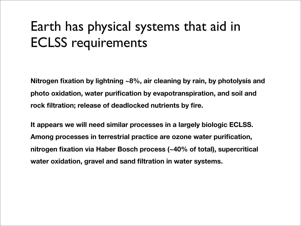### Earth has physical systems that aid in ECLSS requirements

**Nitrogen fixation by lightning ~8%, air cleaning by rain, by photolysis and photo oxidation, water purification by evapotranspiration, and soil and rock filtration; release of deadlocked nutrients by fire.**

**It appears we will need similar processes in a largely biologic ECLSS. Among processes in terrestrial practice are ozone water purification, nitrogen fixation via Haber Bosch process (~40% of total), supercritical water oxidation, gravel and sand filtration in water systems.**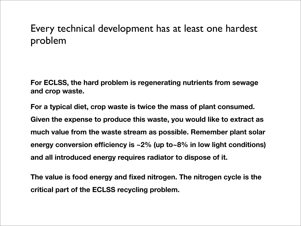#### Every technical development has at least one hardest problem

**For ECLSS, the hard problem is regenerating nutrients from sewage and crop waste.**

**For a typical diet, crop waste is twice the mass of plant consumed. Given the expense to produce this waste, you would like to extract as much value from the waste stream as possible. Remember plant solar energy conversion efficiency is ~2% (up to~8% in low light conditions) and all introduced energy requires radiator to dispose of it.**

**The value is food energy and fixed nitrogen. The nitrogen cycle is the critical part of the ECLSS recycling problem.**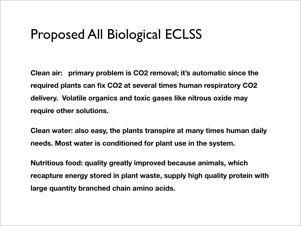### Proposed All Biological ECLSS

**Clean air: primary problem is CO2 removal; it's automatic since the required plants can fix CO2 at several times human respiratory CO2 delivery. Volatile organics and toxic gases like nitrous oxide may require other solutions.**

**Clean water: also easy, the plants transpire at many times human daily needs. Most water is conditioned for plant use in the system.**

**Nutritious food: quality greatly improved because animals, which recapture energy stored in plant waste, supply high quality protein with large quantity branched chain amino acids.**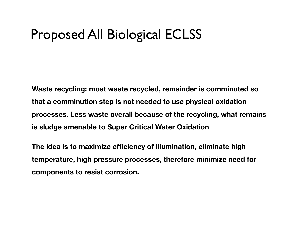### Proposed All Biological ECLSS

**Waste recycling: most waste recycled, remainder is comminuted so that a comminution step is not needed to use physical oxidation processes. Less waste overall because of the recycling, what remains is sludge amenable to Super Critical Water Oxidation**

**The idea is to maximize efficiency of illumination, eliminate high temperature, high pressure processes, therefore minimize need for components to resist corrosion.**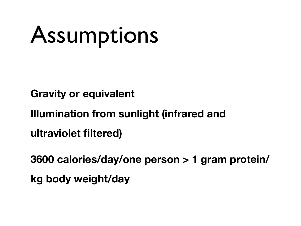# Assumptions

**Gravity or equivalent**

**Illumination from sunlight (infrared and** 

**ultraviolet filtered)**

**3600 calories/day/one person > 1 gram protein/ kg body weight/day**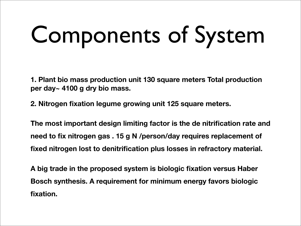# Components of System

**1. Plant bio mass production unit 130 square meters Total production per day~ 4100 g dry bio mass.**

**2. Nitrogen fixation legume growing unit 125 square meters.**

**The most important design limiting factor is the de nitrification rate and need to fix nitrogen gas . 15 g N /person/day requires replacement of fixed nitrogen lost to denitrification plus losses in refractory material.**

**A big trade in the proposed system is biologic fixation versus Haber Bosch synthesis. A requirement for minimum energy favors biologic fixation.**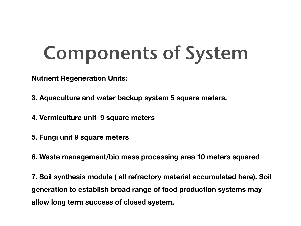### Components of System

**Nutrient Regeneration Units:**

- **3. Aquaculture and water backup system 5 square meters.**
- **4. Vermiculture unit 9 square meters**
- **5. Fungi unit 9 square meters**
- **6. Waste management/bio mass processing area 10 meters squared**

**7. Soil synthesis module ( all refractory material accumulated here). Soil generation to establish broad range of food production systems may allow long term success of closed system.**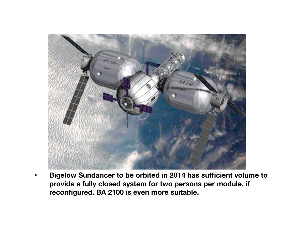

• **Bigelow Sundancer to be orbited in 2014 has sufficient volume to provide a fully closed system for two persons per module, if reconfigured. BA 2100 is even more suitable.**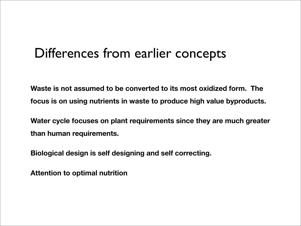#### Differences from earlier concepts

**Waste is not assumed to be converted to its most oxidized form. The focus is on using nutrients in waste to produce high value byproducts.**

**Water cycle focuses on plant requirements since they are much greater than human requirements.**

**Biological design is self designing and self correcting.**

**Attention to optimal nutrition**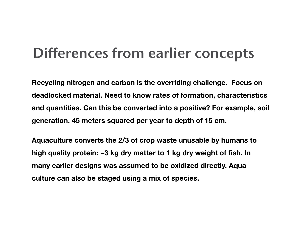### Differences from earlier concepts

**Recycling nitrogen and carbon is the overriding challenge. Focus on deadlocked material. Need to know rates of formation, characteristics and quantities. Can this be converted into a positive? For example, soil generation. 45 meters squared per year to depth of 15 cm.**

**Aquaculture converts the 2/3 of crop waste unusable by humans to high quality protein: ~3 kg dry matter to 1 kg dry weight of fish. In many earlier designs was assumed to be oxidized directly. Aqua culture can also be staged using a mix of species.**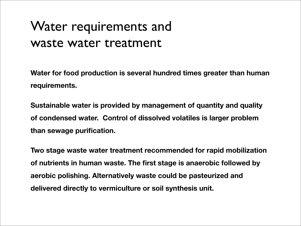### Water requirements and waste water treatment

**Water for food production is several hundred times greater than human requirements.**

**Sustainable water is provided by management of quantity and quality of condensed water. Control of dissolved volatiles is larger problem than sewage purification.**

**Two stage waste water treatment recommended for rapid mobilization of nutrients in human waste. The first stage is anaerobic followed by aerobic polishing. Alternatively waste could be pasteurized and delivered directly to vermiculture or soil synthesis unit.**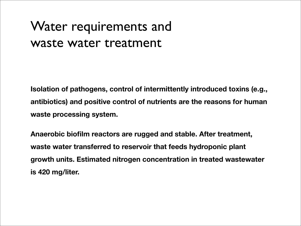### Water requirements and waste water treatment

**Isolation of pathogens, control of intermittently introduced toxins (e.g., antibiotics) and positive control of nutrients are the reasons for human waste processing system.**

**Anaerobic biofilm reactors are rugged and stable. After treatment, waste water transferred to reservoir that feeds hydroponic plant growth units. Estimated nitrogen concentration in treated wastewater is 420 mg/liter.**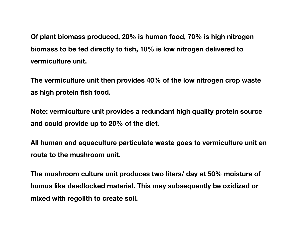**Of plant biomass produced, 20% is human food, 70% is high nitrogen biomass to be fed directly to fish, 10% is low nitrogen delivered to vermiculture unit.** 

**The vermiculture unit then provides 40% of the low nitrogen crop waste as high protein fish food.**

**Note: vermiculture unit provides a redundant high quality protein source and could provide up to 20% of the diet.**

**All human and aquaculture particulate waste goes to vermiculture unit en route to the mushroom unit.**

**The mushroom culture unit produces two liters/ day at 50% moisture of humus like deadlocked material. This may subsequently be oxidized or mixed with regolith to create soil.**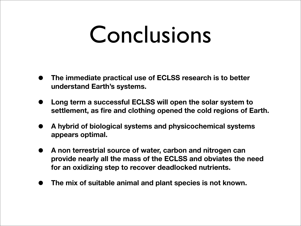### Conclusions

- **• The immediate practical use of ECLSS research is to better understand Earth's systems.**
- **• Long term a successful ECLSS will open the solar system to settlement, as fire and clothing opened the cold regions of Earth.**
- **• A hybrid of biological systems and physicochemical systems appears optimal.**
- **• A non terrestrial source of water, carbon and nitrogen can provide nearly all the mass of the ECLSS and obviates the need for an oxidizing step to recover deadlocked nutrients.**
- **• The mix of suitable animal and plant species is not known.**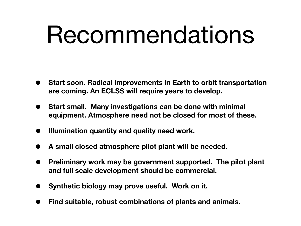## Recommendations

- **• Start soon. Radical improvements in Earth to orbit transportation are coming. An ECLSS will require years to develop.**
- **• Start small. Many investigations can be done with minimal equipment. Atmosphere need not be closed for most of these.**
- **• Illumination quantity and quality need work.**
- **• A small closed atmosphere pilot plant will be needed.**
- **• Preliminary work may be government supported. The pilot plant and full scale development should be commercial.**
- **• Synthetic biology may prove useful. Work on it.**
- **• Find suitable, robust combinations of plants and animals.**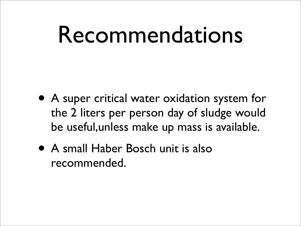## Recommendations

- A super critical water oxidation system for the 2 liters per person day of sludge would be useful,unless make up mass is available.
- A small Haber Bosch unit is also recommended.